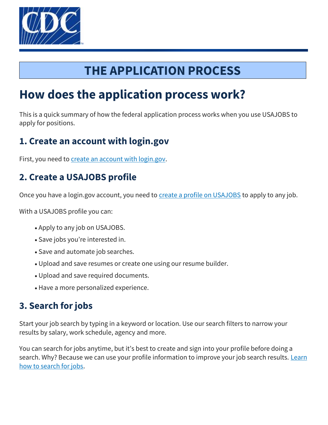

# **THE APPLICATION PROCESS**

# **How does the application process work?**

This is a quick summary of how the federal application process works when you use USAJOBS to apply for positions.

## **1. Create an account with login.gov**

First, you need to [create an account with login.gov.](https://www.usajobs.gov/Applicant/ProfileDashboard/Home/)

# **2. Create a USAJOBS profile**

Once you have a login.gov account, you need to [create a profile on USAJOBS](https://www.usajobs.gov/Help/how-to/account/profile/) to apply to any job.

With a USAJOBS profile you can:

- Apply to any job on USAJOBS.
- Save jobs you're interested in.
- Save and automate job searches.
- Upload and save resumes or create one using our resume builder.
- Upload and save required documents.
- Have a more personalized experience.

# **3. Search for jobs**

Start your job search by typing in a keyword or location. Use our search filters to narrow your results by salary, work schedule, agency and more.

You can search for jobs anytime, but it's best to create and sign into your profile before doing a search. Why? Because we can use your profile information to improve your job search results. Learn [how to search for jobs.](https://www.usajobs.gov/Help/how-to/search/)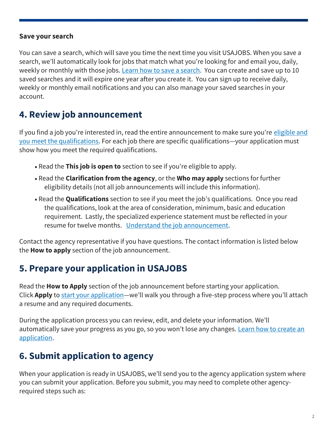#### **Save your search**

You can save a search, which will save you time the next time you visit USAJOBS. When you save a search, we'll automatically look for jobs that match what you're looking for and email you, daily, weekly or monthly with those jobs. [Learn how to save a search.](https://www.usajobs.gov/Help/how-to/search/save/) You can create and save up to 10 saved searches and it will expire one year after you create it. You can sign up to receive daily, weekly or monthly email notifications and you can also manage your saved searches in your account.

## **4. Review job announcement**

If you find a job you're interested in, read the entire announcement to make sure you're eligible and [you meet the qualifications.](https://www.usajobs.gov/Help/faq/application/eligibility/difference-from-qualifications/) For each job there are specific qualifications—your application must show how you meet the required qualifications.

- Read the **This job is open to** section to see if you're eligible to apply.
- Read the **Clarification from the agency**, or the **Who may apply** sections for further eligibility details (not all job announcements will include this information).
- Read the **Qualifications** section to see if you meet the job's qualifications. Once you read the qualifications, look at the area of consideration, minimum, basic and education requirement. Lastly, the specialized experience statement must be reflected in your resume for twelve months. [Understand the job announcement.](https://www.usajobs.gov/Help/how-to/job-announcement/)

Contact the agency representative if you have questions. The contact information is listed below the **How to apply** section of the job announcement.

### **5. Prepare your application in USAJOBS**

Read the **How to Apply** section of the job announcement before starting your application. Click **Apply** to [start your application](https://www.usajobs.gov/Help/how-to/application/)—we'll walk you through a five-step process where you'll attach a resume and any required documents.

During the application process you can review, edit, and delete your information. We'll automatically save your progress as you go, so you won't lose any changes. Learn how to create an [application.](https://www.usajobs.gov/Help/how-to/application/)

### **6. Submit application to agency**

When your application is ready in USAJOBS, we'll send you to the agency application system where you can submit your application. Before you submit, you may need to complete other agencyrequired steps such as: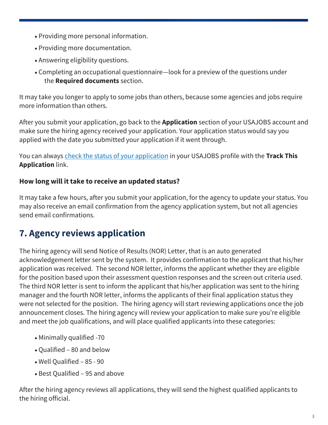- Providing more personal information.
- Providing more documentation.
- Answering eligibility questions.
- Completing an occupational questionnaire—look for a preview of the questions under the **Required documents** section.

It may take you longer to apply to some jobs than others, because some agencies and jobs require more information than others.

After you submit your application, go back to the **Application** section of your USAJOBS account and make sure the hiring agency received your application. Your application status would say you applied with the date you submitted your application if it went through.

You can always [check the status of your application i](https://www.usajobs.gov/Help/how-to/application/status/)n your USAJOBS profile with the **Track This Application** link.

#### **How long will it take to receive an updated status?**

It may take a few hours, after you submit your application, for the agency to update your status. You may also receive an email confirmation from the agency application system, but not all agencies send email confirmations.

# **7. Agency reviews application**

The hiring agency will send Notice of Results (NOR) Letter, that is an auto generated acknowledgement letter sent by the system. It provides confirmation to the applicant that his/her application was received. The second NOR letter, informs the applicant whether they are eligible for the position based upon their assessment question responses and the screen out criteria used. The third NOR letter is sent to inform the applicant that his/her application was sent to the hiring manager and the fourth NOR letter, informs the applicants of their final application status they were not selected for the position. The hiring agency will start reviewing applications once the job announcement closes. The hiring agency will review your application to make sure you're eligible and meet the job qualifications, and will place qualified applicants into these categories:

- Minimally qualified -70
- Qualified 80 and below
- Well Qualified 85 90
- Best Qualified 95 and above

After the hiring agency reviews all applications, they will send the highest qualified applicants to the hiring official.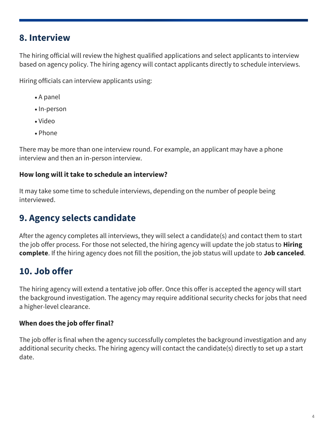### **8. Interview**

The hiring official will review the highest qualified applications and select applicants to interview based on agency policy. The hiring agency will contact applicants directly to schedule interviews.

Hiring officials can interview applicants using:

- A panel
- In-person
- Video
- Phone

There may be more than one interview round. For example, an applicant may have a phone interview and then an in-person interview.

#### **How long will it take to schedule an interview?**

It may take some time to schedule interviews, depending on the number of people being interviewed.

# **9. Agency selects candidate**

After the agency completes all interviews, they will select a candidate(s) and contact them to start the job offer process. For those not selected, the hiring agency will update the job status to **Hiring complete**. If the hiring agency does not fill the position, the job status will update to **Job canceled**.

# **10. Job offer**

The hiring agency will extend a tentative job offer. Once this offer is accepted the agency will start the background investigation. The agency may require additional security checks for jobs that need a higher-level clearance.

#### **When does the job offer final?**

The job offer is final when the agency successfully completes the background investigation and any additional security checks. The hiring agency will contact the candidate(s) directly to set up a start date.